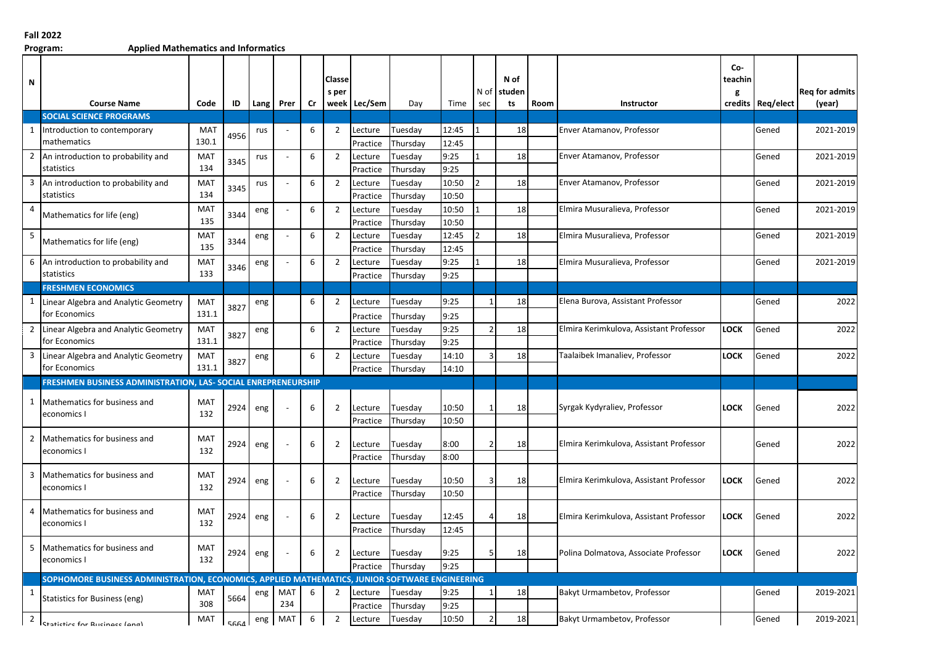## **Fall 2022**

**Program: Applied Mathematics and Informatics**

| N              | <b>Course Name</b>                                                                             | Code              | ID   | <b>Lang</b> | Prer       | Cr | Classe<br>s per | week Lec/Sem        | Day                 | Time         | N of<br>sec | N of<br>studen<br>ts | Room | Instructor                              | Co-<br>teachin<br>g | credits Req/elect | <b>Reg for admits</b><br>(year) |
|----------------|------------------------------------------------------------------------------------------------|-------------------|------|-------------|------------|----|-----------------|---------------------|---------------------|--------------|-------------|----------------------|------|-----------------------------------------|---------------------|-------------------|---------------------------------|
|                | <b>SOCIAL SCIENCE PROGRAMS</b>                                                                 |                   |      |             |            |    |                 |                     |                     |              |             |                      |      |                                         |                     |                   |                                 |
| $\mathbf{1}$   | Introduction to contemporary                                                                   | MAT               | 4956 | rus         |            | 6  | $\overline{2}$  | Lecture             | Tuesday             | 12:45        |             | 18                   |      | Enver Atamanov, Professor               |                     | Gened             | 2021-2019                       |
|                | mathematics                                                                                    | 130.1             |      |             |            |    |                 | Practice            | Thursday            | 12:45        |             |                      |      |                                         |                     |                   |                                 |
| $\overline{2}$ | An introduction to probability and<br>statistics                                               | MAT<br>134        | 3345 | rus         |            | 6  | $\overline{2}$  | Lecture<br>Practice | Tuesday<br>Thursday | 9:25<br>9:25 |             | 18                   |      | Enver Atamanov, Professor               |                     | Gened             | 2021-2019                       |
| 3              | An introduction to probability and                                                             | <b>MAT</b>        |      | rus         |            | 6  | $\overline{2}$  | Lecture             | Tuesday             | 10:50        |             | 18                   |      | Enver Atamanov, Professor               |                     | Gened             | 2021-2019                       |
|                | statistics                                                                                     | 134               | 3345 |             |            |    |                 | Practice            | Thursday            | 10:50        |             |                      |      |                                         |                     |                   |                                 |
| $\overline{4}$ | Mathematics for life (eng)                                                                     | <b>MAT</b>        | 3344 | eng         |            | 6  | $\overline{2}$  | Lecture             | Tuesday             | 10:50        |             | 18                   |      | Elmira Musuralieva, Professor           |                     | Gened             | 2021-2019                       |
|                |                                                                                                | 135               |      |             |            |    |                 | Practice            | Thursday            | 10:50        |             |                      |      |                                         |                     |                   |                                 |
| 5              | Mathematics for life (eng)                                                                     | <b>MAT</b>        | 3344 | eng         |            | 6  | $\overline{2}$  | Lecture             | Tuesday             | 12:45        |             | 18                   |      | Elmira Musuralieva, Professor           |                     | Gened             | 2021-2019                       |
|                |                                                                                                | 135               |      |             |            |    |                 | Practice            | Thursday            | 12:45        |             |                      |      |                                         |                     |                   |                                 |
| 6              | An introduction to probability and                                                             | <b>MAT</b>        | 3346 | eng         |            | 6  | $\overline{2}$  | Lecture             | Tuesday             | 9:25         |             | 18                   |      | Elmira Musuralieva, Professor           |                     | Gened             | 2021-2019                       |
|                | statistics                                                                                     | 133               |      |             |            |    |                 | Practice            | Thursday            | 9:25         |             |                      |      |                                         |                     |                   |                                 |
|                | <b>FRESHMEN ECONOMICS</b>                                                                      |                   |      |             |            |    |                 |                     |                     |              |             |                      |      |                                         |                     |                   |                                 |
| 1              | Linear Algebra and Analytic Geometry                                                           | <b>MAT</b>        | 3827 | eng         |            | 6  | $\overline{2}$  | Lecture             | Tuesday             | 9:25         |             | 18                   |      | Elena Burova, Assistant Professor       |                     | Gened             | 2022                            |
|                | for Economics                                                                                  | 131.1             |      |             |            |    |                 | Practice            | Thursday            | 9:25         |             |                      |      |                                         |                     |                   |                                 |
| 2              | Linear Algebra and Analytic Geometry                                                           | <b>MAT</b>        | 3827 | eng         |            | 6  | $\overline{2}$  | Lecture             | Tuesday             | 9:25         |             | 18                   |      | Elmira Kerimkulova, Assistant Professor | LOCK                | Gened             | 2022                            |
|                | for Economics                                                                                  | 131.1             |      |             |            |    |                 | Practice            | Thursday            | 9:25         |             |                      |      |                                         |                     |                   |                                 |
| 3              | Linear Algebra and Analytic Geometry                                                           | MAT               | 3827 | eng         |            | 6  | $\overline{2}$  | Lecture             | Tuesday             | 14:10        |             | 18                   |      | Taalaibek Imanaliev, Professor          | <b>LOCK</b>         | Gened             | 2022                            |
|                | for Economics                                                                                  | 131.1             |      |             |            |    |                 | Practice            | Thursday            | 14:10        |             |                      |      |                                         |                     |                   |                                 |
|                | FRESHMEN BUSINESS ADMINISTRATION, LAS- SOCIAL ENREPRENEURSHIP                                  |                   |      |             |            |    |                 |                     |                     |              |             |                      |      |                                         |                     |                   |                                 |
| 1              | Mathematics for business and<br>economics I                                                    | <b>MAT</b><br>132 | 2924 | eng         |            | 6  | $\overline{2}$  | Lecture             | Tuesday             | 10:50        |             | 18                   |      | Syrgak Kydyraliev, Professor            | <b>LOCK</b>         | Gened             | 2022                            |
|                |                                                                                                |                   |      |             |            |    |                 | Practice            | Thursday            | 10:50        |             |                      |      |                                         |                     |                   |                                 |
| $\overline{2}$ | Mathematics for business and<br>economics l                                                    | <b>MAT</b><br>132 | 2924 | eng         |            | 6  | $\overline{2}$  | Lecture             | Tuesday             | 8:00         |             | 18                   |      | Elmira Kerimkulova, Assistant Professor |                     | Gened             | 2022                            |
|                |                                                                                                |                   |      |             |            |    |                 | Practice            | Thursday            | 8:00         |             |                      |      |                                         |                     |                   |                                 |
| 3              | Mathematics for business and                                                                   | MAT               | 2924 | eng         |            | 6  | $\overline{2}$  | Lecture             | Tuesday             | 10:50        |             | 18                   |      | Elmira Kerimkulova, Assistant Professor | <b>LOCK</b>         | Gened             | 2022                            |
|                | economics l                                                                                    | 132               |      |             |            |    |                 | Practice            | Thursday            | 10:50        |             |                      |      |                                         |                     |                   |                                 |
| 4              | Mathematics for business and<br>economics I                                                    | <b>MAT</b><br>132 | 2924 | eng         |            | 6  | $\overline{2}$  | Lecture             | Tuesday             | 12:45        |             | 18                   |      | Elmira Kerimkulova, Assistant Professor | LOCK                | Gened             | 2022                            |
|                |                                                                                                |                   |      |             |            |    |                 | Practice            | Thursday            | 12:45        |             |                      |      |                                         |                     |                   |                                 |
| 5              | Mathematics for business and<br>economics I                                                    | <b>MAT</b><br>132 | 2924 | eng         |            | 6  | $\overline{2}$  | Lecture             | Tuesday             | 9:25         |             | 18                   |      | Polina Dolmatova, Associate Professor   | <b>LOCK</b>         | Gened             | 2022                            |
|                |                                                                                                |                   |      |             |            |    |                 | Practice            | Thursday            | 9:25         |             |                      |      |                                         |                     |                   |                                 |
|                | SOPHOMORE BUSINESS ADMINISTRATION, ECONOMICS, APPLIED MATHEMATICS, JUNIOR SOFTWARE ENGINEERING |                   |      |             |            |    |                 |                     |                     |              |             |                      |      |                                         |                     |                   |                                 |
| $\mathbf{1}$   | Statistics for Business (eng)                                                                  | <b>MAT</b><br>308 | 5664 | eng         | MAT<br>234 | 6  | $\overline{2}$  | Lecture<br>Practice | Tuesday<br>Thursday | 9:25<br>9:25 |             | 18                   |      | Bakyt Urmambetov, Professor             |                     | Gened             | 2019-2021                       |
| $\overline{2}$ | Statistics for Rusingss (ang)                                                                  | <b>MAT</b>        | 5664 | eng         | <b>MAT</b> | 6  | $\overline{2}$  | Lecture             | Tuesday             | 10:50        |             | 18                   |      | Bakyt Urmambetov, Professor             |                     | Gened             | 2019-2021                       |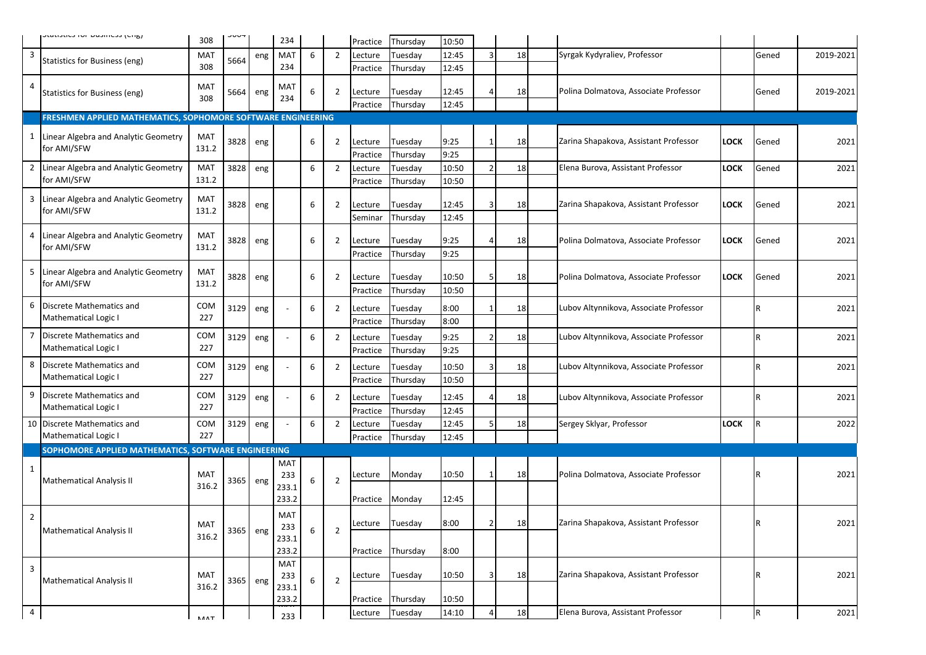|                         | ושוואן ככאוווכאט וטו כאואכואטר                               | 308                 | ว∪บ+     |     | 234          |   |                | Practice            | Thursday            | 10:50 |               |    |  |                                        |             |       |           |
|-------------------------|--------------------------------------------------------------|---------------------|----------|-----|--------------|---|----------------|---------------------|---------------------|-------|---------------|----|--|----------------------------------------|-------------|-------|-----------|
| $\overline{\mathbf{3}}$ |                                                              | MAT                 | 5664     | eng | MAT          | 6 | $\overline{2}$ | Lecture             | Tuesday             | 12:45 |               | 18 |  | Syrgak Kydyraliev, Professor           |             | Gened | 2019-2021 |
|                         | Statistics for Business (eng)                                | 308                 |          |     | 234          |   |                | Practice            | Thursday            | 12:45 |               |    |  |                                        |             |       |           |
| $\overline{4}$          |                                                              | <b>MAT</b>          |          |     | MAT          |   |                |                     |                     |       |               |    |  |                                        |             |       |           |
|                         | Statistics for Business (eng)                                | 308                 | 5664     | eng | 234          | 6 | $\overline{2}$ | Lecture             | Tuesday             | 12:45 |               | 18 |  | Polina Dolmatova, Associate Professor  |             | Gened | 2019-2021 |
|                         |                                                              |                     |          |     |              |   |                | Practice            | Thursday            | 12:45 |               |    |  |                                        |             |       |           |
|                         | FRESHMEN APPLIED MATHEMATICS, SOPHOMORE SOFTWARE ENGINEERING |                     |          |     |              |   |                |                     |                     |       |               |    |  |                                        |             |       |           |
|                         | 1 Linear Algebra and Analytic Geometry                       | <b>MAT</b>          | 3828     | eng |              | 6 | $\overline{2}$ | Lecture             | Tuesday             | 9:25  |               | 18 |  | Zarina Shapakova, Assistant Professor  | <b>LOCK</b> | Gened | 2021      |
|                         | for AMI/SFW                                                  | 131.2               |          |     |              |   |                | Practice            | Thursday            | 9:25  |               |    |  |                                        |             |       |           |
| 2                       | Linear Algebra and Analytic Geometry                         | MAT                 | 3828     | eng |              | 6 | $\overline{2}$ | Lecture             | Tuesday             | 10:50 |               | 18 |  | Elena Burova, Assistant Professor      | <b>LOCK</b> | Gened | 2021      |
|                         | for AMI/SFW                                                  | 131.2               |          |     |              |   |                | Practice            | Thursday            | 10:50 |               |    |  |                                        |             |       |           |
| 3                       | Linear Algebra and Analytic Geometry                         | <b>MAT</b>          |          |     |              |   |                |                     |                     |       |               |    |  |                                        |             |       |           |
|                         | for AMI/SFW                                                  | 131.2               | 3828     | eng |              | 6 | 2              | Lecture             | Tuesday             | 12:45 |               | 18 |  | Zarina Shapakova, Assistant Professor  | LOCK        | Gened | 2021      |
|                         |                                                              |                     |          |     |              |   |                | Seminar             | Thursday            | 12:45 |               |    |  |                                        |             |       |           |
| 4                       | Linear Algebra and Analytic Geometry                         | MAT                 | 3828     |     |              | 6 | 2              | Lecture             | Tuesday             | 9:25  |               | 18 |  | Polina Dolmatova, Associate Professor  | <b>LOCK</b> | Gened | 2021      |
|                         | for AMI/SFW                                                  | 131.2               |          | eng |              |   |                | Practice            | Thursday            | 9:25  |               |    |  |                                        |             |       |           |
|                         |                                                              |                     |          |     |              |   |                |                     |                     |       |               |    |  |                                        |             |       |           |
| 5                       | Linear Algebra and Analytic Geometry                         | <b>MAT</b>          | 3828     | eng |              | 6 | 2              | Lecture             | Tuesday             | 10:50 |               | 18 |  | Polina Dolmatova, Associate Professor  | <b>LOCK</b> | Gened | 2021      |
|                         | for AMI/SFW                                                  | 131.2               |          |     |              |   |                | Practice            | Thursday            | 10:50 |               |    |  |                                        |             |       |           |
| 6                       | Discrete Mathematics and                                     | COM                 | 3129     | eng |              | 6 | $\overline{2}$ | Lecture             | Tuesday             | 8:00  |               | 18 |  | Lubov Altynnikova, Associate Professor |             | R     | 2021      |
|                         | Mathematical Logic I                                         | 227                 |          |     |              |   |                | Practice            | Thursday            | 8:00  |               |    |  |                                        |             |       |           |
| $\overline{7}$          | Discrete Mathematics and                                     | COM                 | 3129     |     |              | 6 | $\overline{2}$ |                     |                     | 9:25  |               | 18 |  | Lubov Altynnikova, Associate Professor |             | R     | 2021      |
|                         | Mathematical Logic I                                         | 227                 |          | eng |              |   |                | Lecture<br>Practice | Tuesday<br>Thursday | 9:25  |               |    |  |                                        |             |       |           |
|                         |                                                              |                     |          |     |              |   |                |                     |                     |       |               |    |  |                                        |             |       |           |
| 8                       | Discrete Mathematics and<br>Mathematical Logic I             | COM<br>227          | 3129     | eng |              | 6 | $\overline{2}$ | Lecture             | Tuesday             | 10:50 |               | 18 |  | Lubov Altynnikova, Associate Professor |             | R     | 2021      |
|                         |                                                              |                     |          |     |              |   |                | Practice            | Thursday            | 10:50 |               |    |  |                                        |             |       |           |
| 9                       | Discrete Mathematics and                                     | COM                 | 3129     | eng |              | 6 | $\overline{2}$ | Lecture             | Tuesday             | 12:45 |               | 18 |  | Lubov Altynnikova, Associate Professor |             | R     | 2021      |
|                         | Mathematical Logic I                                         | 227                 |          |     |              |   |                | Practice            | Thursday            | 12:45 |               |    |  |                                        |             |       |           |
|                         | 10 Discrete Mathematics and                                  | COM                 | 3129     | eng |              | 6 | $\overline{2}$ | Lecture             | Tuesday             | 12:45 |               | 18 |  | Sergey Sklyar, Professor               | <b>LOCK</b> | R.    | 2022      |
|                         | Mathematical Logic I                                         | 227                 |          |     |              |   |                | Practice            | Thursday            | 12:45 |               |    |  |                                        |             |       |           |
|                         | SOPHOMORE APPLIED MATHEMATICS, SOFTWARE ENGINEERING          |                     |          |     |              |   |                |                     |                     |       |               |    |  |                                        |             |       |           |
| 1                       |                                                              |                     |          |     | MAT          |   |                |                     |                     |       |               |    |  | Polina Dolmatova, Associate Professor  |             |       |           |
|                         | <b>Mathematical Analysis II</b>                              | <b>MAT</b><br>316.2 | 3365 eng |     | 233<br>233.1 | 6 | $\overline{2}$ | .ecture             | Monday              | 10:50 |               | 18 |  |                                        |             | R     | 2021      |
|                         |                                                              |                     |          |     | 233.2        |   |                | Practice            | Monday              | 12:45 |               |    |  |                                        |             |       |           |
|                         |                                                              |                     |          |     | MAT          |   |                |                     |                     |       |               |    |  |                                        |             |       |           |
| $\overline{2}$          |                                                              | MAT                 |          |     | 233          |   |                | Lecture Tuesday     |                     | 8:00  | $\mathcal{D}$ | 18 |  | Zarina Shapakova, Assistant Professor  |             | R     | 2021      |
|                         | <b>Mathematical Analysis II</b>                              | 316.2               | 3365 eng |     | 233.1        | 6 | $\overline{2}$ |                     |                     |       |               |    |  |                                        |             |       |           |
|                         |                                                              |                     |          |     | 233.2        |   |                | Practice            | Thursday            | 8:00  |               |    |  |                                        |             |       |           |
| $\overline{3}$          |                                                              |                     |          |     | <b>MAT</b>   |   | $\overline{2}$ |                     |                     |       |               |    |  | Zarina Shapakova, Assistant Professor  |             |       |           |
|                         | <b>Mathematical Analysis II</b>                              | <b>MAT</b>          | 3365 eng |     | 233          | 6 |                | Lecture             | Tuesday             | 10:50 |               | 18 |  |                                        |             | R     | 2021      |
|                         |                                                              | 316.2               |          |     | 233.1        |   |                |                     |                     |       |               |    |  |                                        |             |       |           |
|                         |                                                              |                     |          |     | 233.2        |   |                | Practice            | Thursday            | 10:50 |               |    |  |                                        |             |       |           |
| $\overline{a}$          |                                                              | <b>AAAT</b>         |          |     | 233          |   |                | Lecture             | Tuesday             | 14:10 |               | 18 |  | Elena Burova, Assistant Professor      |             | R     | 2021      |